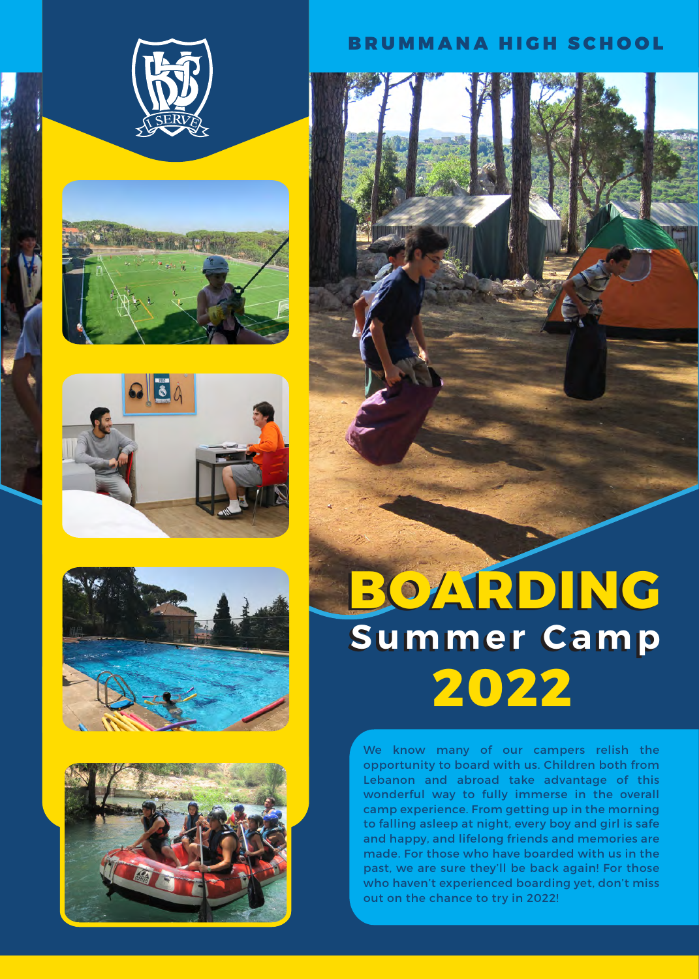









## BRUMMANA HIGH SCHOOL



## **BOARDING BOARDING Summer Camp Summer Camp 2022**

We know many of our campers relish the opportunity to board with us. Children both from Lebanon and abroad take advantage of this wonderful way to fully immerse in the overall camp experience. From getting up in the morning to falling asleep at night, every boy and girl is safe and happy, and lifelong friends and memories are made. For those who have boarded with us in the past, we are sure they'll be back again! For those who haven't experienced boarding yet, don't miss out on the chance to try in 2022!